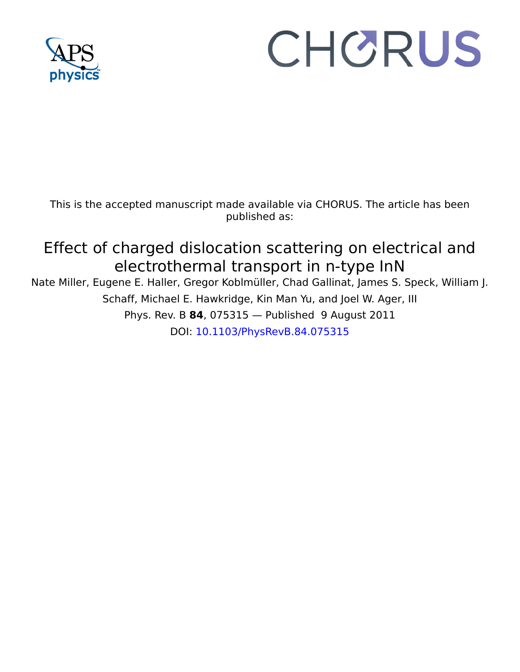

# CHORUS

This is the accepted manuscript made available via CHORUS. The article has been published as:

# Effect of charged dislocation scattering on electrical and electrothermal transport in n-type InN

Nate Miller, Eugene E. Haller, Gregor Koblmüller, Chad Gallinat, James S. Speck, William J. Schaff, Michael E. Hawkridge, Kin Man Yu, and Joel W. Ager, III Phys. Rev. B **84**, 075315 — Published 9 August 2011 DOI: [10.1103/PhysRevB.84.075315](http://dx.doi.org/10.1103/PhysRevB.84.075315)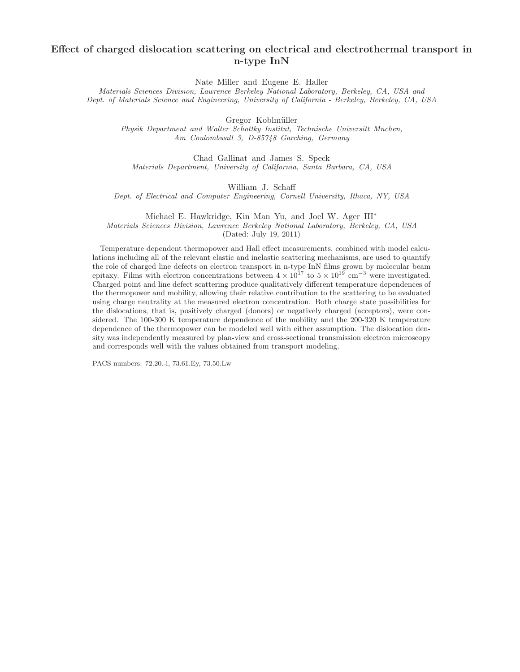# Effect of charged dislocation scattering on electrical and electrothermal transport in n-type InN

Nate Miller and Eugene E. Haller

*Materials Sciences Division, Lawrence Berkeley National Laboratory, Berkeley, CA, USA and Dept. of Materials Science and Engineering, University of California - Berkeley, Berkeley, CA, USA*

Gregor Koblmüller

*Physik Department and Walter Schottky Institut, Technische Universitt Mnchen, Am Coulombwall 3, D-85748 Garching, Germany*

Chad Gallinat and James S. Speck *Materials Department, University of California, Santa Barbara, CA, USA*

William J. Schaff

*Dept. of Electrical and Computer Engineering, Cornell University, Ithaca, NY, USA*

Michael E. Hawkridge, Kin Man Yu, and Joel W. Ager III<sup>∗</sup>

*Materials Sciences Division, Lawrence Berkeley National Laboratory, Berkeley, CA, USA*

(Dated: July 19, 2011)

Dept. of Electrical and Computer Engineering, Corneal Onteresting,<br>Michael E. Hawkridge, Kin Man Yu, and Joel W. *i*<br>detrials *Sciences Division, Lawrence Berkeley National Laboratory,*<br>(Dated: July 19, 2011)<br>perature dep  $\label{eq:2.1} \begin{array}{ll} \text{Depth} \quad & \text{William J. Sebaff} \\ \text{Dept. of Electrical and Computer Engineering, Cornell University, Bheza, NY, USA} \\ \text{Michael L. Hawkridge, Kian Mian Jlu, and Jood W. Age III}\\ \text{Materials Sciences Dnsións, Lausense Reesley Natanon Lash, Rieskog, Retskey, CA, USA \\ \text{Dadel-ialy 13}, 20111 \\ \text{Interpendicular did the relevant cluster and inedl effect uncertainty mechanism, are used to quantify. This group is not a clear that the model of the data, and the model of the data, and the data, and the data, the data, the data, the data, the data, the data, the data, the data, the data, the data$ Temperature dependent thermopower and Hall effect measurements, combined with model calculations including all of the relevant elastic and inelastic scattering mechanisms, are used to quantify the role of charged line defects on electron transport in n-type InN films grown by molecular beam epitaxy. Films with electron concentrations between  $4 \times 10^{17}$  to  $5 \times 10^{19}$  cm<sup>-3</sup> were investigated. Charged point and line defect scattering produce qualitatively different temperature dependences of the thermopower and mobility, allowing their relative contribution to the scattering to be evaluated using charge neutrality at the measured electron concentration. Both charge state possibilities for the dislocations, that is, positively charged (donors) or negatively charged (acceptors), were considered. The 100-300 K temperature dependence of the mobility and the 200-320 K temperature dependence of the thermopower can be modeled well with either assumption. The dislocation density was independently measured by plan-view and cross-sectional transmission electron microscopy and corresponds well with the values obtained from transport modeling.

PACS numbers: 72.20.-i, 73.61.Ey, 73.50.Lw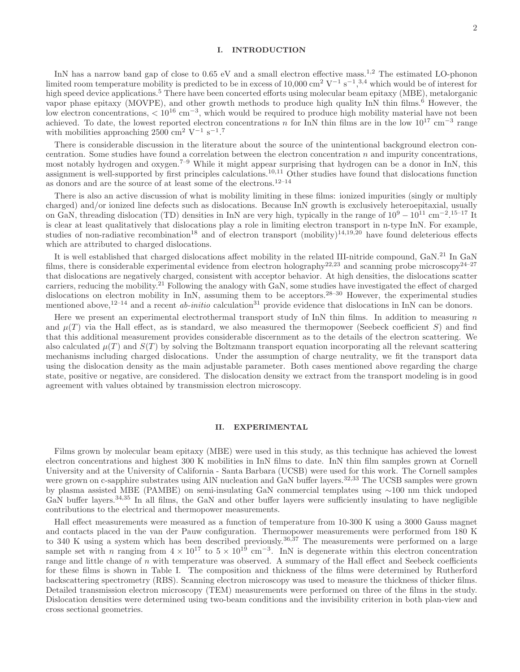## I. INTRODUCTION

InN has a narrow band gap of close to 0.65 eV and a small electron effective mass.<sup>1,2</sup> The estimated LO-phonon limited room temperature mobility is predicted to be in excess of 10,000 cm<sup>2</sup> V<sup>-1</sup> s<sup>-1</sup>,<sup>3,4</sup> which would be of interest for high speed device applications.<sup>5</sup> There have been concerted efforts using molecular beam epitaxy (MBE), metalorganic vapor phase epitaxy (MOVPE), and other growth methods to produce high quality InN thin films.<sup>6</sup> However, the low electron concentrations, < 10<sup>16</sup> cm<sup>−3</sup>, which would be required to produce high mobility material have not been achieved. To date, the lowest reported electron concentrations n for InN thin films are in the low  $10^{17}$  cm<sup>-3</sup> range with mobilities approaching  $2500 \text{ cm}^2 \text{ V}^{-1} \text{ s}^{-1}$ .<sup>7</sup>

There is considerable discussion in the literature about the source of the unintentional background electron concentration. Some studies have found a correlation between the electron concentration  $n$  and impurity concentrations, most notably hydrogen and oxygen.7–9 While it might appear surprising that hydrogen can be a donor in InN, this assignment is well-supported by first principles calculations.10,11 Other studies have found that dislocations function as donors and are the source of at least some of the electrons.  $^{12-14}$ 

There is also an active discussion of what is mobility limiting in these films: ionized impurities (singly or multiply charged) and/or ionized line defects such as dislocations. Because InN growth is exclusively heteroepitaxial, usually on GaN, threading dislocation (TD) densities in InN are very high, typically in the range of  $10^9 - 10^{11}$  cm<sup>-2</sup>.<sup>15-17</sup> It is clear at least qualitatively that dislocations play a role in limiting electron transport in n-type InN. For example, studies of non-radiative recombination<sup>18</sup> and of electron transport (mobility)<sup>14,19,20</sup> have found deleterious effects which are attributed to charged dislocations.

It is well established that charged dislocations affect mobility in the related III-nitride compound, GaN.<sup>21</sup> In GaN films, there is considerable experimental evidence from electron holography<sup>22,23</sup> and scanning probe microscopy<sup>24–27</sup> that dislocations are negatively charged, consistent with acceptor behavior. At high densities, the dislocations scatter carriers, reducing the mobility.<sup>21</sup> Following the analogy with GaN, some studies have investigated the effect of charged dislocations on electron mobility in InN, assuming them to be acceptors.<sup>28–30</sup> However, the experimental studies mentioned above,<sup>12–14</sup> and a recent *ab-initio* calculation<sup>31</sup> provide evidence that dislocations in InN can be donors.

Here we present an experimental electrothermal transport study of InN thin films. In addition to measuring  $n$ and  $\mu(T)$  via the Hall effect, as is standard, we also measured the thermopower (Seebeck coefficient S) and find that this additional measurement provides considerable discernment as to the details of the electron scattering. We also calculated  $\mu(T)$  and  $S(T)$  by solving the Boltzmann transport equation incorporating all the relevant scattering mechanisms including charged dislocations. Under the assumption of charge neutrality, we fit the transport data using the dislocation density as the main adjustable parameter. Both cases mentioned above regarding the charge state, positive or negative, are considered. The dislocation density we extract from the transport modeling is in good agreement with values obtained by transmission electron microscopy.

#### II. EXPERIMENTAL

Films grown by molecular beam epitaxy (MBE) were used in this study, as this technique has achieved the lowest electron concentrations and highest 300 K mobilities in InN films to date. InN thin film samples grown at Cornell University and at the University of California - Santa Barbara (UCSB) were used for this work. The Cornell samples were grown on c-sapphire substrates using AlN nucleation and GaN buffer layers.<sup>32,33</sup> The UCSB samples were grown by plasma assisted MBE (PAMBE) on semi-insulating GaN commercial templates using ∼100 nm thick undoped GaN buffer layers.<sup>34,35</sup> In all films, the GaN and other buffer layers were sufficiently insulating to have negligible contributions to the electrical and thermopower measurements.

Hall effect measurements were measured as a function of temperature from 10-300 K using a 3000 Gauss magnet and contacts placed in the van der Pauw configuration. Thermopower measurements were performed from 180 K to 340 K using a system which has been described previously.<sup>36,37</sup> The measurements were performed on a large sample set with n ranging from  $4 \times 10^{17}$  to  $5 \times 10^{19}$  cm<sup>-3</sup>. InN is degenerate within this electron concentration range and little change of  $n$  with temperature was observed. A summary of the Hall effect and Seebeck coefficients for these films is shown in Table I. The composition and thickness of the films were determined by Rutherford backscattering spectrometry (RBS). Scanning electron microscopy was used to measure the thickness of thicker films. Detailed transmission electron microscopy (TEM) measurements were performed on three of the films in the study. Dislocation densities were determined using two-beam conditions and the invisibility criterion in both plan-view and cross sectional geometries.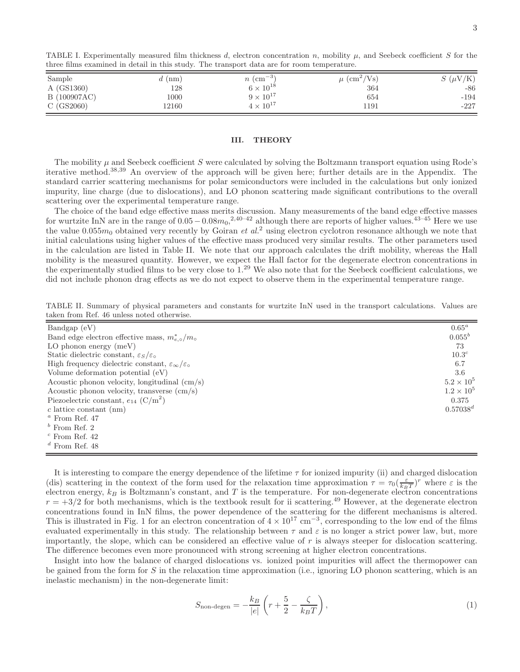| Sample       | $d$ (nm) | $n \, (cm^{-3})$   | $\mu$ (cm <sup>2</sup> /Vs) | $S(\mu V/K)$ |
|--------------|----------|--------------------|-----------------------------|--------------|
| A (GS1360)   | 128      | $6 \times 10^{18}$ | 364                         | -86          |
| B (100907AC) | 1000     | $9 \times 10^{17}$ | 654                         | $-194$       |
| C(GS2060)    | 12160    | $4\times10^{17}$   | 1191                        | $-227$       |

TABLE I. Experimentally measured film thickness d, electron concentration n, mobility  $\mu$ , and Seebeck coefficient S for the three films examined in detail in this study. The transport data are for room temperature.

# III. THEORY

The mobility  $\mu$  and Seebeck coefficient S were calculated by solving the Boltzmann transport equation using Rode's iterative method.38,39 An overview of the approach will be given here; further details are in the Appendix. The standard carrier scattering mechanisms for polar semiconductors were included in the calculations but only ionized impurity, line charge (due to dislocations), and LO phonon scattering made significant contributions to the overall scattering over the experimental temperature range.

The choice of the band edge effective mass merits discussion. Many measurements of the band edge effective masses for wurtzite InN are in the range of  $0.05-0.08m_0$ ,<sup>2,40–42</sup> although there are reports of higher values.<sup>43–45</sup> Here we use the value  $0.055m_0$  obtained very recently by Goiran *et al.*<sup>2</sup> using electron cyclotron resonance although we note that initial calculations using higher values of the effective mass produced very similar results. The other parameters used in the calculation are listed in Table II. We note that our approach calculates the drift mobility, whereas the Hall mobility is the measured quantity. However, we expect the Hall factor for the degenerate electron concentrations in the experimentally studied films to be very close to 1.<sup>29</sup> We also note that for the Seebeck coefficient calculations, we did not include phonon drag effects as we do not expect to observe them in the experimental temperature range.

TABLE II. Summary of physical parameters and constants for wurtzite InN used in the transport calculations. Values are taken from Ref. 46 unless noted otherwise.

| Bandgap (eV)                                                                    |                     |
|---------------------------------------------------------------------------------|---------------------|
| Band edge electron effective mass, $m_{e,\circ}^*/m_{\circ}$                    | $0.055^b$           |
| LO phonon energy $(meV)$                                                        | 73                  |
| Static dielectric constant, $\varepsilon_S/\varepsilon_o$                       | 10.3 <sup>c</sup>   |
| High frequency dielectric constant, $\varepsilon_{\infty}/\varepsilon_{\infty}$ | 6.7                 |
| Volume deformation potential $(eV)$                                             | 3.6                 |
| Acoustic phonon velocity, longitudinal $\langle$ cm/s $\rangle$                 | $5.2 \times 10^5$   |
| Acoustic phonon velocity, transverse (cm/s)                                     | $1.2 \times 10^{5}$ |
| Piezoelectric constant, $e_{14}$ (C/m <sup>2</sup> )                            | 0.375               |
| $c$ lattice constant (nm)                                                       | $0.57038^d$         |
| $a$ From Ref. 47                                                                |                     |
| $b$ From Ref. 2                                                                 |                     |
| $\degree$ From Ref. 42                                                          |                     |
| $d$ From Ref 48                                                                 |                     |

It is interesting to compare the energy dependence of the lifetime  $\tau$  for ionized impurity (ii) and charged dislocation (dis) scattering in the context of the form used for the relaxation time approximation  $\tau = \tau_0(\frac{\varepsilon}{k_B T})^r$  where  $\varepsilon$  is the electron energy,  $k_B$  is Boltzmann's constant, and T is the temperature. For non-degenerate electron concentrations  $r = +3/2$  for both mechanisms, which is the textbook result for ii scattering.<sup>49</sup> However, at the degenerate electron concentrations found in InN films, the power dependence of the scattering for the different mechanisms is altered. This is illustrated in Fig. 1 for an electron concentration of  $4 \times 10^{17}$  cm<sup>-3</sup>, corresponding to the low end of the films evaluated experimentally in this study. The relationship between  $\tau$  and  $\varepsilon$  is no longer a strict power law, but, more importantly, the slope, which can be considered an effective value of  $r$  is always steeper for dislocation scattering. The difference becomes even more pronounced with strong screening at higher electron concentrations.

Insight into how the balance of charged dislocations vs. ionized point impurities will affect the thermopower can be gained from the form for S in the relaxation time approximation (i.e., ignoring LO phonon scattering, which is an inelastic mechanism) in the non-degenerate limit:

$$
S_{\text{non-degen}} = -\frac{k_B}{|e|} \left( r + \frac{5}{2} - \frac{\zeta}{k_B T} \right),\tag{1}
$$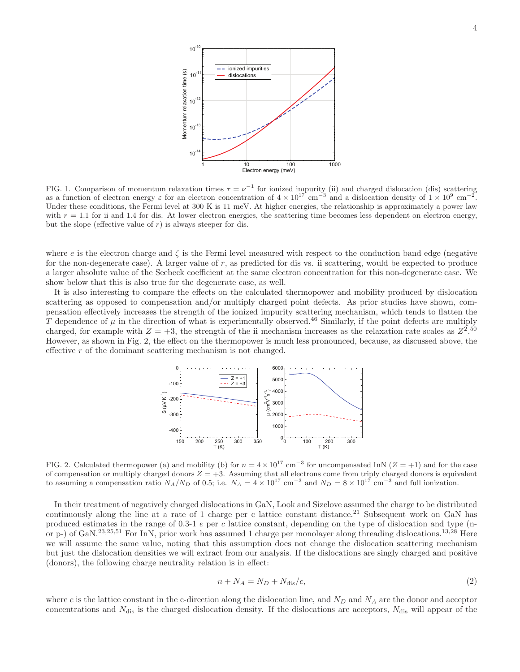

FIG. 1. Comparison of momentum relaxation times  $\tau = \nu^{-1}$  for ionized impurity (ii) and charged dislocation (dis) scattering as a function of electron energy  $\varepsilon$  for an electron concentration of  $4 \times 10^{17}$  cm<sup>-3</sup> and a dislocation density of  $1 \times 10^9$  cm<sup>-2</sup>. Under these conditions, the Fermi level at 300 K is 11 meV. At higher energies, the relationship is approximately a power law with  $r = 1.1$  for ii and 1.4 for dis. At lower electron energies, the scattering time becomes less dependent on electron energy, but the slope (effective value of  $r$ ) is always steeper for dis.

where e is the electron charge and  $\zeta$  is the Fermi level measured with respect to the conduction band edge (negative for the non-degenerate case). A larger value of  $r$ , as predicted for dis vs. ii scattering, would be expected to produce a larger absolute value of the Seebeck coefficient at the same electron concentration for this non-degenerate case. We show below that this is also true for the degenerate case, as well.

It is also interesting to compare the effects on the calculated thermopower and mobility produced by dislocation scattering as opposed to compensation and/or multiply charged point defects. As prior studies have shown, compensation effectively increases the strength of the ionized impurity scattering mechanism, which tends to flatten the T dependence of  $\mu$  in the direction of what is experimentally observed.<sup>46</sup> Similarly, if the point defects are multiply charged, for example with  $Z = +3$ , the strength of the ii mechanism increases as the relaxation rate scales as  $Z^{2.50}$ However, as shown in Fig. 2, the effect on the thermopower is much less pronounced, because, as discussed above, the effective r of the dominant scattering mechanism is not changed.



FIG. 2. Calculated thermopower (a) and mobility (b) for  $n = 4 \times 10^{17}$  cm<sup>-3</sup> for uncompensated InN (Z = +1) and for the case of compensation or multiply charged donors  $Z = +3$ . Assuming that all electrons come from triply charged donors is equivalent<br>to assuming a compensation ratio  $N_A/N_D$  of 0.5; i.e.  $N_A = 4 \times 10^{17}$  cm<sup>-3</sup> and  $N_D = 8 \times 10^{17}$ 

In their treatment of negatively charged dislocations in GaN, Look and Sizelove assumed the charge to be distributed continuously along the line at a rate of 1 charge per c lattice constant distance.<sup>21</sup> Subsequent work on GaN has produced estimates in the range of 0.3-1 e per c lattice constant, depending on the type of dislocation and type (nor p-) of GaN.<sup>23,25,51</sup> For InN, prior work has assumed 1 charge per monolayer along threading dislocations.<sup>13,28</sup> Here we will assume the same value, noting that this assumption does not change the dislocation scattering mechanism but just the dislocation densities we will extract from our analysis. If the dislocations are singly charged and positive (donors), the following charge neutrality relation is in effect:

$$
n + N_A = N_D + N_{\text{dis}}/c,\tag{2}
$$

where c is the lattice constant in the c-direction along the dislocation line, and  $N_D$  and  $N_A$  are the donor and acceptor concentrations and  $N_{\text{dis}}$  is the charged dislocation density. If the dislocations are acceptors,  $N_{\text{dis}}$  will appear of the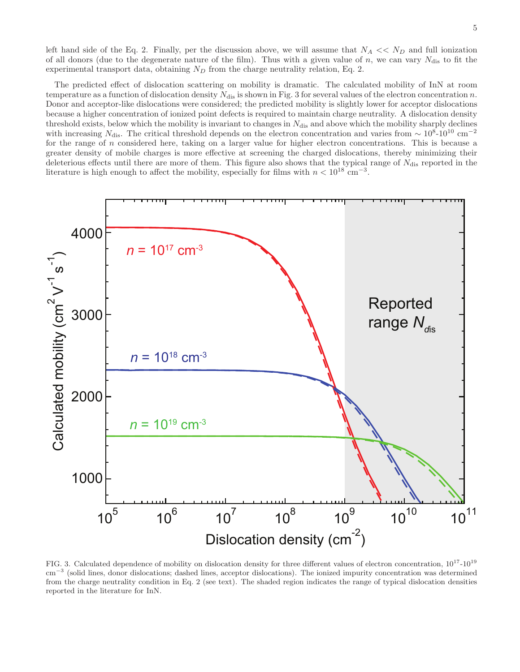left hand side of the Eq. 2. Finally, per the discussion above, we will assume that  $N_A \ll N_D$  and full ionization of all donors (due to the degenerate nature of the film). Thus with a given value of n, we can vary  $N_{\text{dis}}$  to fit the experimental transport data, obtaining  $N_D$  from the charge neutrality relation, Eq. 2.

The predicted effect of dislocation scattering on mobility is dramatic. The calculated mobility of InN at room temperature as a function of dislocation density  $N_{dis}$  is shown in Fig. 3 for several values of the electron concentration n. Donor and acceptor-like dislocations were considered; the predicted mobility is slightly lower for acceptor dislocations because a higher concentration of ionized point defects is required to maintain charge neutrality. A dislocation density threshold exists, below which the mobility is invariant to changes in  $N_{\text{dis}}$  and above which the mobility sharply declines with increasing  $N_{\text{dis}}$ . The critical threshold depends on the electron concentration and varies from ~ 10<sup>8</sup>-10<sup>10</sup> cm<sup>-2</sup> for the range of n considered here, taking on a larger value for higher electron concentrations. This is because a greater density of mobile charges is more effective at screening the charged dislocations, thereby minimizing their deleterious effects until there are more of them. This figure also shows that the typical range of  $N_{\text{dis}}$  reported in the literature is high enough to affect the mobility, especially for films with  $n < 10^{18}$  cm<sup>-3</sup>.



FIG. 3. Calculated dependence of mobility on dislocation density for three different values of electron concentration,  $10^{17}$ - $10^{19}$ cm<sup>-3</sup> (solid lines, donor dislocations; dashed lines, acceptor dislocations). The ionized impurity concentration was determined from the charge neutrality condition in Eq. 2 (see text). The shaded region indicates the range of typical dislocation densities reported in the literature for InN.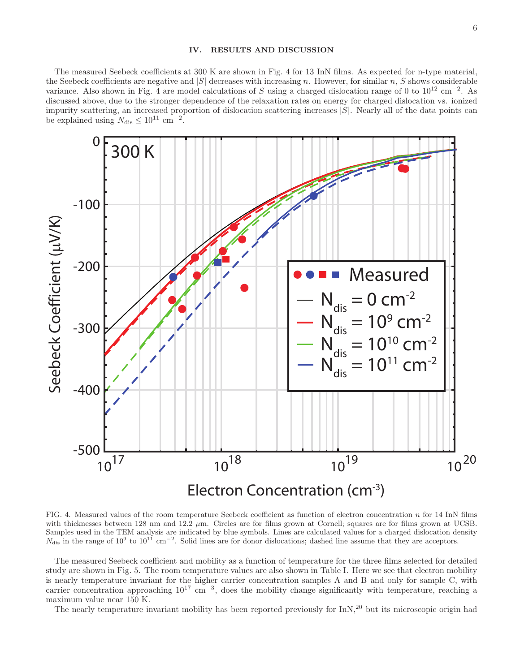### IV. RESULTS AND DISCUSSION

The measured Seebeck coefficients at 300 K are shown in Fig. 4 for 13 InN films. As expected for n-type material, the Seebeck coefficients are negative and  $|S|$  decreases with increasing n. However, for similar n, S shows considerable variance. Also shown in Fig. 4 are model calculations of S using a charged dislocation range of 0 to  $10^{12}$  cm<sup>-2</sup>. As discussed above, due to the stronger dependence of the relaxation rates on energy for charged dislocation vs. ionized impurity scattering, an increased proportion of dislocation scattering increases  $|S|$ . Nearly all of the data points can be explained using  $N_{\text{dis}} \leq 10^{11} \text{ cm}^{-2}$ .



FIG. 4. Measured values of the room temperature Seebeck coefficient as function of electron concentration  $n$  for 14 InN films with thicknesses between 128 nm and 12.2  $\mu$ m. Circles are for films grown at Cornell; squares are for films grown at UCSB. Samples used in the TEM analysis are indicated by blue symbols. Lines are calculated values for a charged dislocation density  $N_{\text{dis}}$  in the range of  $10^9$  to  $10^{11}$  cm<sup>-2</sup>. Solid lines are for donor dislocations; da

The measured Seebeck coefficient and mobility as a function of temperature for the three films selected for detailed study are shown in Fig. 5. The room temperature values are also shown in Table I. Here we see that electron mobility is nearly temperature invariant for the higher carrier concentration samples A and B and only for sample C, with carrier concentration approaching  $10^{17}$  cm<sup>-3</sup>, does the mobility change significantly with temperature, reaching a maximum value near 150 K.

The nearly temperature invariant mobility has been reported previously for InN,<sup>20</sup> but its microscopic origin had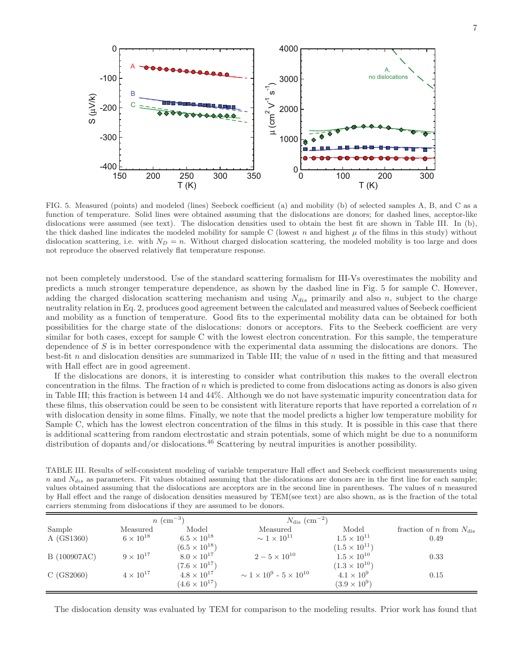

FIG. 5. Measured (points) and modeled (lines) Seebeck coefficient (a) and mobility (b) of selected samples A, B, and C as a function of temperature. Solid lines were obtained assuming that the dislocations are donors; for dashed lines, acceptor-like dislocations were assumed (see text). The dislocation densities used to obtain the best fit are shown in Table III. In (b), the thick dashed line indicates the modeled mobility for sample C (lowest n and highest  $\mu$  of the films in this study) without dislocation scattering, i.e. with  $N_D = n$ . Without charged dislocation scattering, the modeled mobility is too large and does not reproduce the observed relatively flat temperature response.

not been completely understood. Use of the standard scattering formalism for III-Vs overestimates the mobility and predicts a much stronger temperature dependence, as shown by the dashed line in Fig. 5 for sample C. However, adding the charged dislocation scattering mechanism and using  $N_{dis}$  primarily and also n, subject to the charge neutrality relation in Eq. 2, produces good agreement between the calculated and measured values of Seebeck coefficient and mobility as a function of temperature. Good fits to the experimental mobility data can be obtained for both possibilities for the charge state of the dislocations: donors or acceptors. Fits to the Seebeck coefficient are very similar for both cases, except for sample C with the lowest electron concentration. For this sample, the temperature dependence of S is in better correspondence with the experimental data assuming the dislocations are donors. The best-fit n and dislocation densities are summarized in Table III; the value of n used in the fitting and that measured with Hall effect are in good agreement.

If the dislocations are donors, it is interesting to consider what contribution this makes to the overall electron concentration in the films. The fraction of  $n$  which is predicted to come from dislocations acting as donors is also given in Table III; this fraction is between 14 and 44%. Although we do not have systematic impurity concentration data for these films, this observation could be seen to be consistent with literature reports that have reported a correlation of  $n$ with dislocation density in some films. Finally, we note that the model predicts a higher low temperature mobility for Sample C, which has the lowest electron concentration of the films in this study. It is possible in this case that there is additional scattering from random electrostatic and strain potentials, some of which might be due to a nonuniform distribution of dopants and/or dislocations.<sup>46</sup> Scattering by neutral impurities is another possibility.

TABLE III. Results of self-consistent modeling of variable temperature Hall effect and Seebeck coefficient measurements using n and  $N_{dis}$  as parameters. Fit values obtained assuming that the dislocations are donors are in the first line for each sample; values obtained assuming that the dislocations are acceptors are in the second line in parentheses. The values of n measured by Hall effect and the range of dislocation densities measured by TEM(see text) are also shown, as is the fraction of the total carriers stemming from dislocations if they are assumed to be donors.

|              |                    | $n \, (cm^{-3})$       | $N_{\rm dis}~({\rm cm}^{-2})$             |                        |                                            |
|--------------|--------------------|------------------------|-------------------------------------------|------------------------|--------------------------------------------|
| Sample       | Measured           | Model                  | Measured                                  | Model                  | fraction of <i>n</i> from $N_{\text{dis}}$ |
| A (GS1360)   | $6 \times 10^{18}$ | $6.5 \times 10^{18}$   | $\sim 1 \times 10^{11}$                   | $1.5 \times 10^{11}$   | 0.49                                       |
|              |                    | $(6.5 \times 10^{18})$ |                                           | $(1.5 \times 10^{11})$ |                                            |
| B (100907AC) | $9 \times 10^{17}$ | $8.0 \times 10^{17}$   | $2 - 5 \times 10^{10}$                    | $1.5 \times 10^{10}$   | 0.33                                       |
|              |                    | $(7.6 \times 10^{17})$ |                                           | $(1.3 \times 10^{10})$ |                                            |
| C(GS2060)    | $4 \times 10^{17}$ | $4.8 \times 10^{17}$   | $\sim 1 \times 10^9$ - $5 \times 10^{10}$ | $4.1 \times 10^{9}$    | 0.15                                       |
|              |                    | $(4.6 \times 10^{17})$ |                                           | $(3.9 \times 10^{9})$  |                                            |

The dislocation density was evaluated by TEM for comparison to the modeling results. Prior work has found that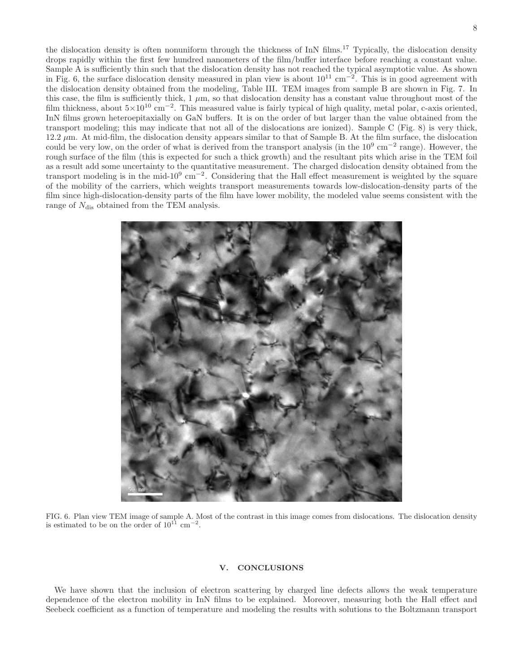the dislocation density is often nonuniform through the thickness of InN films.<sup>17</sup> Typically, the dislocation density drops rapidly within the first few hundred nanometers of the film/buffer interface before reaching a constant value. Sample A is sufficiently thin such that the dislocation density has not reached the typical asymptotic value. As shown in Fig. 6, the surface dislocation density measured in plan view is about  $10^{11}$  cm<sup>-2</sup>. This is in good agreement with the dislocation density obtained from the modeling, Table III. TEM images from sample B are shown in Fig. 7. In this case, the film is sufficiently thick,  $1 \mu m$ , so that dislocation density has a constant value throughout most of the film thickness, about  $5\times10^{10}$  cm<sup>-2</sup>. This measured value is fairly typical of high quality, metal polar, c-axis oriented, InN films grown heteroepitaxially on GaN buffers. It is on the order of but larger than the value obtained from the transport modeling; this may indicate that not all of the dislocations are ionized). Sample C (Fig. 8) is very thick,  $12.2 \mu$ m. At mid-film, the dislocation density appears similar to that of Sample B. At the film surface, the dislocation could be very low, on the order of what is derived from the transport analysis (in the  $10^9 \text{ cm}^{-2}$  range). However, the rough surface of the film (this is expected for such a thick growth) and the resultant pits which arise in the TEM foil as a result add some uncertainty to the quantitative measurement. The charged dislocation density obtained from the transport modeling is in the mid-10<sup>9</sup> cm<sup>-2</sup>. Considering that the Hall effect measurement is weighted by the square of the mobility of the carriers, which weights transport measurements towards low-dislocation-density parts of the film since high-dislocation-density parts of the film have lower mobility, the modeled value seems consistent with the range of  $N_{\text{dis}}$  obtained from the TEM analysis.



FIG. 6. Plan view TEM image of sample A. Most of the contrast in this image comes from dislocations. The dislocation density is estimated to be on the order of  $10^{11}$  cm<sup>-2</sup>.

# V. CONCLUSIONS

We have shown that the inclusion of electron scattering by charged line defects allows the weak temperature dependence of the electron mobility in InN films to be explained. Moreover, measuring both the Hall effect and Seebeck coefficient as a function of temperature and modeling the results with solutions to the Boltzmann transport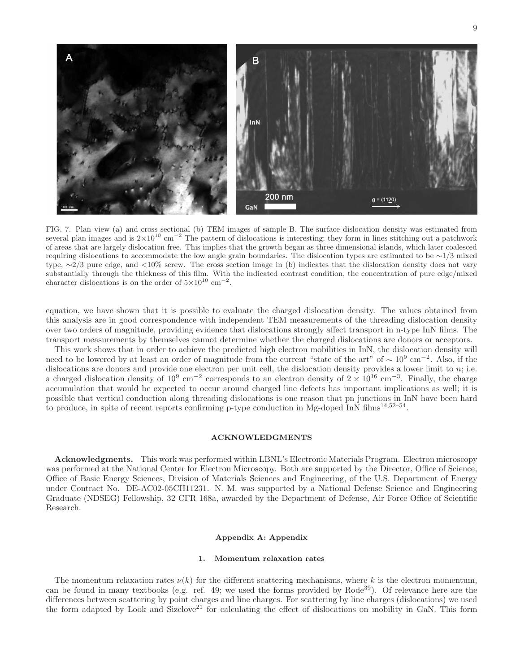

FIG. 7. Plan view (a) and cross sectional (b) TEM images of sample B. The surface dislocation density was estimated from several plan images and is  $2\times10^{10}$  cm<sup>-2</sup> The pattern of dislocations is interesting; they form in lines stitching out a patchwork of areas that are largely dislocation free. This implies that the growth began as three dimensional islands, which later coalesced requiring dislocations to accommodate the low angle grain boundaries. The dislocation types are estimated to be ∼1/3 mixed type, ∼2/3 pure edge, and <10% screw. The cross section image in (b) indicates that the dislocation density does not vary substantially through the thickness of this film. With the indicated contrast condition, the concentration of pure edge/mixed character dislocations is on the order of  $5\times10^{10}$  cm<sup>-2</sup>.

equation, we have shown that it is possible to evaluate the charged dislocation density. The values obtained from this analysis are in good correspondence with independent TEM measurements of the threading dislocation density over two orders of magnitude, providing evidence that dislocations strongly affect transport in n-type InN films. The transport measurements by themselves cannot determine whether the charged dislocations are donors or acceptors.

This work shows that in order to achieve the predicted high electron mobilities in InN, the dislocation density will need to be lowered by at least an order of magnitude from the current "state of the art" of ~ 10<sup>9</sup> cm<sup>-2</sup>. Also, if the dislocations are donors and provide one electron per unit cell, the dislocation density provides a lower limit to  $n$ ; i.e. a charged dislocation density of  $10^9 \text{ cm}^{-2}$  corresponds to an electron density of  $2 \times 10^{16} \text{ cm}^{-3}$ . Finally, the charge accumulation that would be expected to occur around charged line defects has important implications as well; it is possible that vertical conduction along threading dislocations is one reason that pn junctions in InN have been hard to produce, in spite of recent reports confirming p-type conduction in Mg-doped InN films<sup>14,52–54</sup>.

# ACKNOWLEDGMENTS

Acknowledgments. This work was performed within LBNL's Electronic Materials Program. Electron microscopy was performed at the National Center for Electron Microscopy. Both are supported by the Director, Office of Science, Office of Basic Energy Sciences, Division of Materials Sciences and Engineering, of the U.S. Department of Energy under Contract No. DE-AC02-05CH11231. N. M. was supported by a National Defense Science and Engineering Graduate (NDSEG) Fellowship, 32 CFR 168a, awarded by the Department of Defense, Air Force Office of Scientific Research.

#### Appendix A: Appendix

# 1. Momentum relaxation rates

The momentum relaxation rates  $\nu(k)$  for the different scattering mechanisms, where k is the electron momentum, can be found in many textbooks (e.g. ref. 49; we used the forms provided by Rode<sup>39</sup>). Of relevance here are the differences between scattering by point charges and line charges. For scattering by line charges (dislocations) we used the form adapted by Look and Sizelove<sup>21</sup> for calculating the effect of dislocations on mobility in GaN. This form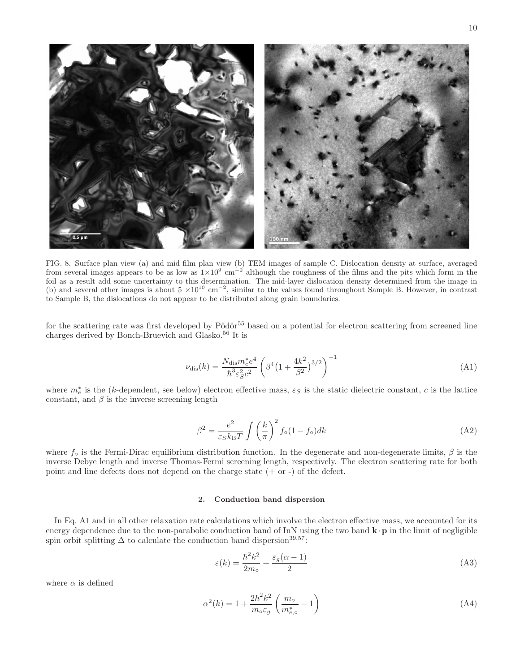

FIG. 8. Surface plan view (a) and mid film plan view (b) TEM images of sample C. Dislocation density at surface, averaged from several images appears to be as low as  $1\times10^9$  cm<sup>-2</sup> although the roughness of the films and the pits which form in the foil as a result add some uncertainty to this determination. The mid-layer dislocation density determined from the image in (b) and several other images is about  $5 \times 10^{10}$  cm<sup>-2</sup>, similar to the values found throughout Sample B. However, in contrast to Sample B, the dislocations do not appear to be distributed along grain boundaries.

for the scattering rate was first developed by  $Pödör<sup>55</sup>$  based on a potential for electron scattering from screened line charges derived by Bonch-Bruevich and Glasko.<sup>56</sup> It is

$$
\nu_{\rm dis}(k) = \frac{N_{\rm dis} m_e^* e^4}{\hbar^3 \varepsilon_S^2 c^2} \left( \beta^4 \left( 1 + \frac{4k^2}{\beta^2} \right)^{3/2} \right)^{-1} \tag{A1}
$$

where  $m_e^*$  is the (k-dependent, see below) electron effective mass,  $\varepsilon_S$  is the static dielectric constant, c is the lattice constant, and  $\beta$  is the inverse screening length

$$
\beta^2 = \frac{e^2}{\varepsilon_S k_\text{B} T} \int \left(\frac{k}{\pi}\right)^2 f_\text{o}(1 - f_\text{o}) dk \tag{A2}
$$

where  $f_{\circ}$  is the Fermi-Dirac equilibrium distribution function. In the degenerate and non-degenerate limits,  $\beta$  is the inverse Debye length and inverse Thomas-Fermi screening length, respectively. The electron scattering rate for both point and line defects does not depend on the charge state  $(+ \text{ or } -)$  of the defect.

# 2. Conduction band dispersion

In Eq. A1 and in all other relaxation rate calculations which involve the electron effective mass, we accounted for its energy dependence due to the non-parabolic conduction band of InN using the two band  $\mathbf{k} \cdot \mathbf{p}$  in the limit of negligible spin orbit splitting  $\Delta$  to calculate the conduction band dispersion<sup>39,57</sup>:

$$
\varepsilon(k) = \frac{\hbar^2 k^2}{2m_\text{o}} + \frac{\varepsilon_g(\alpha - 1)}{2} \tag{A3}
$$

where  $\alpha$  is defined

$$
\alpha^2(k) = 1 + \frac{2\hbar^2 k^2}{m_\circ \varepsilon_g} \left(\frac{m_\circ}{m_{e,\circ}^*} - 1\right) \tag{A4}
$$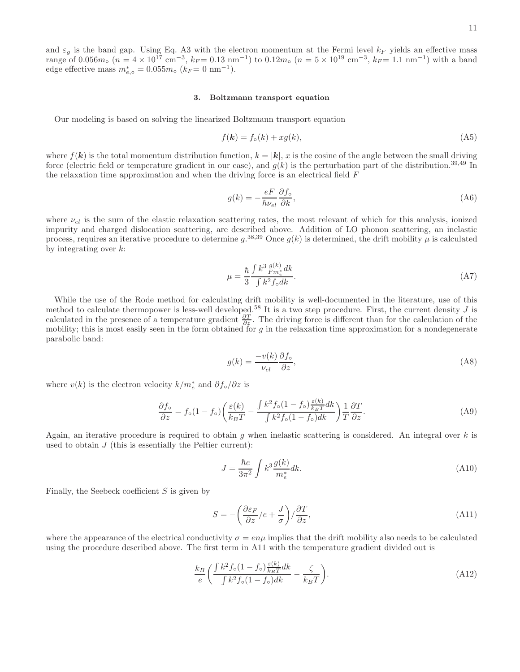and  $\varepsilon_g$  is the band gap. Using Eq. A3 with the electron momentum at the Fermi level  $k_F$  yields an effective mass range of 0.056 $m_o$  ( $n = 4 \times 10^{17}$  cm<sup>-3</sup>,  $k_F = 0.13$  nm<sup>-1</sup>) to  $0.12m_o$  ( $n = 5 \times 10^{19}$  cm<sup>-3</sup>,  $k_F = 1.1$  nm<sup>-1</sup>) with a band edge effective mass  $m_{e,\circ}^* = 0.055 m_\circ$  ( $k_F = 0 \text{ nm}^{-1}$ ).

#### 3. Boltzmann transport equation

Our modeling is based on solving the linearized Boltzmann transport equation

$$
f(\mathbf{k}) = f_{\circ}(k) + xg(k),\tag{A5}
$$

where  $f(\mathbf{k})$  is the total momentum distribution function,  $k = |\mathbf{k}|$ , x is the cosine of the angle between the small driving force (electric field or temperature gradient in our case), and  $g(k)$  is the perturbation part of the distribution.<sup>39,49</sup> In the relaxation time approximation and when the driving force is an electrical field F

$$
g(k) = -\frac{eF}{\hbar \nu_{el}} \frac{\partial f_{\circ}}{\partial k},\tag{A6}
$$

where  $\nu_{el}$  is the sum of the elastic relaxation scattering rates, the most relevant of which for this analysis, ionized impurity and charged dislocation scattering, are described above. Addition of LO phonon scattering, an inelastic process, requires an iterative procedure to determine  $g^{(38,39)}$  Once  $g(k)$  is determined, the drift mobility  $\mu$  is calculated by integrating over  $k$ :

$$
\mu = \frac{\hbar}{3} \frac{\int k^3 \frac{g(k)}{F m_e^*} dk}{\int k^2 f_\circ dk}.
$$
\n(A7)

While the use of the Rode method for calculating drift mobility is well-documented in the literature, use of this method to calculate thermopower is less-well developed.<sup>58</sup> It is a two step procedure. First, the current density J is calculated in the presence of a temperature gradient  $\frac{\partial T}{\partial z}$ . The driving force is different than for the calculation of the mobility; this is most easily seen in the form obtained for  $g$  in the relaxation time approximation for a nondegenerate parabolic band:

$$
g(k) = \frac{-v(k)}{\nu_{el}} \frac{\partial f_{\circ}}{\partial z},\tag{A8}
$$

where  $v(k)$  is the electron velocity  $k/m_e^*$  and  $\partial f_\circ/\partial z$  is

$$
\frac{\partial f_{\circ}}{\partial z} = f_{\circ}(1 - f_{\circ}) \left( \frac{\varepsilon(k)}{k_{B}T} - \frac{\int k^{2} f_{\circ}(1 - f_{\circ}) \frac{\varepsilon(k)}{k_{B}T} dk}{\int k^{2} f_{\circ}(1 - f_{\circ}) dk} \right) \frac{1}{T} \frac{\partial T}{\partial z}.
$$
\n(A9)

Again, an iterative procedure is required to obtain g when inelastic scattering is considered. An integral over  $k$  is used to obtain  $J$  (this is essentially the Peltier current):

$$
J = \frac{\hbar e}{3\pi^2} \int k^3 \frac{g(k)}{m_e^*} dk.
$$
\n(A10)

Finally, the Seebeck coefficient  $S$  is given by

$$
S = -\left(\frac{\partial \varepsilon_F}{\partial z}/e + \frac{J}{\sigma}\right) / \frac{\partial T}{\partial z},\tag{A11}
$$

where the appearance of the electrical conductivity  $\sigma = en\mu$  implies that the drift mobility also needs to be calculated using the procedure described above. The first term in A11 with the temperature gradient divided out is

$$
\frac{k_B}{e} \left( \frac{\int k^2 f_\circ (1 - f_\circ) \frac{\varepsilon(k)}{k_B T} dk}{\int k^2 f_\circ (1 - f_\circ) dk} - \frac{\zeta}{k_B T} \right). \tag{A12}
$$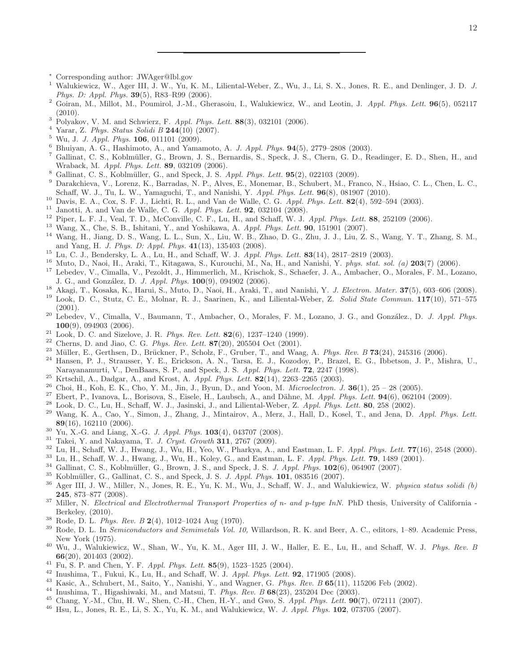- <sup>∗</sup> Corresponding author: JWAger@lbl.gov
- Walukiewicz, W., Ager III, J. W., Yu, K. M., Liliental-Weber, Z., Wu, J., Li, S. X., Jones, R. E., and Denlinger, J. D. *J. Phys. D: Appl. Phys.* 39(5), R83–R99 (2006).
- Goiran, M., Millot, M., Poumirol, J.-M., Gherasoiu, I., Walukiewicz, W., and Leotin, J. *Appl. Phys. Lett.* 96(5), 052117 (2010).
- Polyakov, V. M. and Schwierz, F. *Appl. Phys. Lett.* 88(3), 032101 (2006).
- Yarar, Z. *Phys. Status Solidi B* 244(10) (2007).
- Wu, J. *J. Appl. Phys.* 106, 011101 (2009).
- Bhuiyan, A. G., Hashimoto, A., and Yamamoto, A. *J. Appl. Phys.* 94(5), 2779–2808 (2003).
- Gallinat, C. S., Koblmüller, G., Brown, J. S., Bernardis, S., Speck, J. S., Chern, G. D., Readinger, E. D., Shen, H., and Wraback, M. *Appl. Phys. Lett.* 89, 032109 (2006).
- Gallinat, C. S., Koblm¨uller, G., and Speck, J. S. *Appl. Phys. Lett.* 95(2), 022103 (2009).
- Darakchieva, V., Lorenz, K., Barradas, N. P., Alves, E., Monemar, B., Schubert, M., Franco, N., Hsiao, C. L., Chen, L. C., Schaff, W. J., Tu, L. W., Yamaguchi, T., and Nanishi, Y. *Appl. Phys. Lett.* 96(8), 081907 (2010).
- Davis, E. A., Cox, S. F. J., Lichti, R. L., and Van de Walle, C. G. *Appl. Phys. Lett.* 82(4), 592–594 (2003).
- Janotti, A. and Van de Walle, C. G. *Appl. Phys. Lett.* 92, 032104 (2008).
- Piper, L. F. J., Veal, T. D., McConville, C. F., Lu, H., and Schaff, W. J. *Appl. Phys. Lett.* 88, 252109 (2006).
- Wang, X., Che, S. B., Ishitani, Y., and Yoshikawa, A. *Appl. Phys. Lett.* 90, 151901 (2007).
- Wang, H., Jiang, D. S., Wang, L. L., Sun, X., Liu, W. B., Zhao, D. G., Zhu, J. J., Liu, Z. S., Wang, Y. T., Zhang, S. M., and Yang, H. *J. Phys. D: Appl. Phys.* 41(13), 135403 (2008).
- Lu, C. J., Bendersky, L. A., Lu, H., and Schaff, W. J. *Appl. Phys. Lett.* 83(14), 2817–2819 (2003).
- Muto, D., Naoi, H., Araki, T., Kitagawa, S., Kurouchi, M., Na, H., and Nanishi, Y. *phys. stat. sol. (a)* 203(7) (2006).
- Lebedev, V., Cimalla, V., Pezoldt, J., Himmerlich, M., Krischok, S., Schaefer, J. A., Ambacher, O., Morales, F. M., Lozano, J. G., and Gonz´alez, D. *J. Appl. Phys.* 100(9), 094902 (2006).
- Akagi, T., Kosaka, K., Harui, S., Muto, D., Naoi, H., Araki, T., and Nanishi, Y. *J. Electron. Mater.* 37(5), 603–606 (2008).
- Look, D. C., Stutz, C. E., Molnar, R. J., Saarinen, K., and Liliental-Weber, Z. *Solid State Commun.* 117(10), 571–575 (2001).
- <sup>20</sup> Lebedev, V., Cimalla, V., Baumann, T., Ambacher, O., Morales, F. M., Lozano, J. G., and González., D. *J. Appl. Phys.* (9), 094903 (2006).
- Look, D. C. and Sizelove, J. R. *Phys. Rev. Lett.* 82(6), 1237–1240 (1999).
- <sup>22</sup> Cherns, D. and Jiao, C. G. *Phys. Rev. Lett.* **87**(20), 205504 Oct (2001).<br><sup>23</sup> Million E. Carthage D. Prijskpar, B. Scholz, E. Cruber, T. and Was
- <sup>23</sup> Müller, E., Gerthsen, D., Brückner, P., Scholz, F., Gruber, T., and Waag, A. *Phys. Rev. B* 73(24), 245316 (2006).
- Hansen, P. J., Strausser, Y. E., Erickson, A. N., Tarsa, E. J., Kozodoy, P., Brazel, E. G., Ibbetson, J. P., Mishra, U., Narayanamurti, V., DenBaars, S. P., and Speck, J. S. *Appl. Phys. Lett.* 72, 2247 (1998).
- Krtschil, A., Dadgar, A., and Krost, A. *Appl. Phys. Lett.* 82(14), 2263–2265 (2003).
- <sup>26</sup> Choi, H., Koh, E. K., Cho, Y. M., Jin, J., Byun, D., and Yoon, M. *Microelectron.* J. **36**(1), 25 28 (2005).
- <sup>27</sup> Ebert, P., Ivanova, L., Borisova, S., Eisele, H., Laubsch, A., and Dähne, M. *Appl. Phys. Lett.* **94**(6), 062104 (2009).<br><sup>28</sup> Lett. D. C. L., H. Schoff, W. J. Josinali, J. and Liliated Wahan, Z. Appl. Phys. Lett. **90**
- <sup>28</sup> Look, D. C., Lu, H., Schaff, W. J., Jasinski, J., and Liliental-Weber, Z. *Appl. Phys. Lett.* **80**, 258 (2002).
- Wang, K. A., Cao, Y., Simon, J., Zhang, J., Mintairov, A., Merz, J., Hall, D., Kosel, T., and Jena, D. *Appl. Phys. Lett.* (16), 162110 (2006).
- Yu, X.-G. and Liang, X.-G. *J. Appl. Phys.* 103(4), 043707 (2008).
- <sup>31</sup> Takei, Y. and Nakayama, T. *J. Cryst. Growth* **311**, 2767 (2009).
- <sup>32</sup> Lu, H., Schaff, W. J., Hwang, J., Wu, H., Yeo, W., Pharkya, A., and Eastman, L. F. *Appl. Phys. Lett.* **77**(16), 2548 (2000).<br><sup>33</sup> Lu, H., Schaff, W. J., Hwang, J., Wu, H., Keley, C., and Eastman, L. F. *Appl. Phys.*
- <sup>33</sup> Lu, H., Schaff, W. J., Hwang, J., Wu, H., Koley, G., and Eastman, L. F. *Appl. Phys. Lett.* **79**, 1489 (2001).<br><sup>34</sup> Callingt, C. S. Kohlmüller, C. Province J. S. and Speek, J. S. *J. Appl. Phys.* 192(6), 064007 (2007
- <sup>34</sup> Gallinat, C. S., Koblmüller, G., Brown, J. S., and Speck, J. S. *J. Appl. Phys.* **102**(6), 064907 (2007).<br><sup>35</sup> Koblmüller, C. Collinat, C. S., and Speck, J. S. *J. Appl. Phys.* **101**, 082516 (2007).
- Koblm¨uller, G., Gallinat, C. S., and Speck, J. S. *J. Appl. Phys.* 101, 083516 (2007).
- Ager III, J. W., Miller, N., Jones, R. E., Yu, K. M., Wu, J., Schaff, W. J., and Walukiewicz, W. *physica status solidi (b)* , 873–877 (2008).
- Miller, N. *Electrical and Electrothermal Transport Properties of n- and p-type InN*. PhD thesis, University of California Berkeley, (2010).
- <sup>38</sup> Rode, D. L. *Phys. Rev. B*  $2(4)$ , 1012–1024 Aug (1970).<br><sup>39</sup> Rode, D. L. In *Semiconductors and Semimetals Vol. 10*
- Rode, D. L. In *Semiconductors and Semimetals Vol. 10,* Willardson, R. K. and Beer, A. C., editors, 1–89. Academic Press, New York (1975).
- Wu, J., Walukiewicz, W., Shan, W., Yu, K. M., Ager III, J. W., Haller, E. E., Lu, H., and Schaff, W. J. *Phys. Rev. B* (20), 201403 (2002).
- Fu, S. P. and Chen, Y. F. *Appl. Phys. Lett.* 85(9), 1523–1525 (2004).
- Inushima, T., Fukui, K., Lu, H., and Schaff, W. J. *Appl. Phys. Lett.* 92, 171905 (2008).
- Kasic, A., Schubert, M., Saito, Y., Nanishi, Y., and Wagner, G. *Phys. Rev. B* 65(11), 115206 Feb (2002).
- Inushima, T., Higashiwaki, M., and Matsui, T. *Phys. Rev. B* 68(23), 235204 Dec (2003).
- Chang, Y.-M., Chu, H. W., Shen, C.-H., Chen, H.-Y., and Gwo, S. *Appl. Phys. Lett.* 90(7), 072111 (2007).
- Hsu, L., Jones, R. E., Li, S. X., Yu, K. M., and Walukiewicz, W. *J. Appl. Phys.* 102, 073705 (2007).